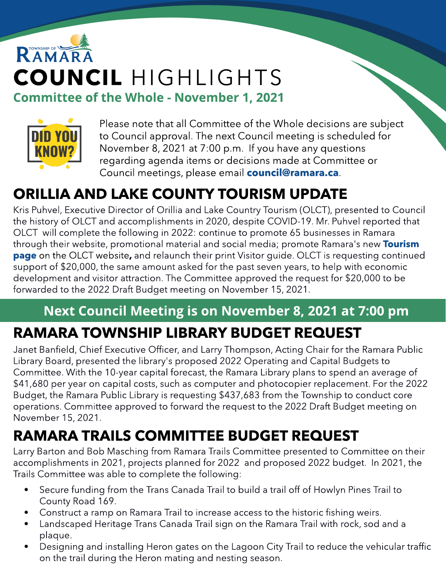# RAMAR COUNCIL HIGHLIGHTS **Committee of the Whole - November 1, 2021**



Please note that all Committee of the Whole decisions are subject to Council approval. The next Council meeting is scheduled for November 8, 2021 at 7:00 p.m. If you have any questions regarding agenda items or decisions made at Committee or Council meetings, please email **[council@ramara.ca](mailto:council@ramara.ca)**.

## ORILLIA AND LAKE COUNTY TOURISM UPDATE

Kris Puhvel, Executive Director of Orillia and Lake Country Tourism (OLCT), presented to Council the history of OLCT and accomplishments in 2020, despite COVID-19. Mr. Puhvel reported that OLCT will complete the following in 2022: continue to promote 65 businesses in Ramara through their website, promotional material and social media; promote Ramara's new **[Tourism](https://www.orillialakecountry.ca/tourism-ramara/) [page](https://www.orillialakecountry.ca/tourism-ramara/)** on the OLCT website, and relaunch their print Visitor guide. OLCT is requesting continued support of \$20,000, the same amount asked for the past seven years, to help with economic development and visitor attraction. The Committee approved the request for \$20,000 to be forwarded to the 2022 Draft Budget meeting on November 15, 2021.

# Next Council Meeting is on November 8, 2021 at 7:00 pm

### RAMARA TOWNSHIP LIBRARY BUDGET REQUEST

Janet Banfield, Chief Executive Officer, and Larry Thompson, Acting Chair for the Ramara Public Library Board, presented the library's proposed 2022 Operating and Capital Budgets to Committee. With the 10-year capital forecast, the Ramara Library plans to spend an average of \$41,680 per year on capital costs, such as computer and photocopier replacement. For the 2022 Budget, the Ramara Public Library is requesting \$437,683 from the Township to conduct core operations. Committee approved to forward the request to the 2022 Draft Budget meeting on November 15, 2021.

## RAMARA TRAILS COMMITTEE BUDGET REQUEST

Larry Barton and Bob Masching from Ramara Trails Committee presented to Committee on their accomplishments in 2021, projects planned for 2022 and proposed 2022 budget. In 2021, the Trails Committee was able to complete the following:

- Secure funding from the Trans Canada Trail to build a trail off of Howlyn Pines Trail to County Road 169.
- Construct a ramp on Ramara Trail to increase access to the historic fishing weirs.
- Landscaped Heritage Trans Canada Trail sign on the Ramara Trail with rock, sod and a plaque.
- Designing and installing Heron gates on the Lagoon City Trail to reduce the vehicular traffic on the trail during the Heron mating and nesting season.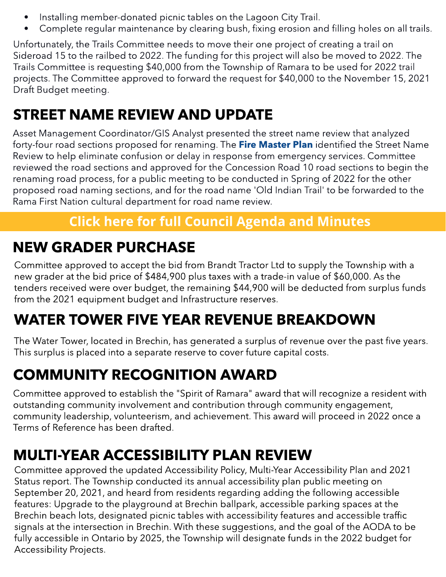- Installing member-donated picnic tables on the Lagoon City Trail.
- Complete regular maintenance by clearing bush, fixing erosion and filling holes on all trails.

Unfortunately, the Trails Committee needs to move their one project of creating a trail on Sideroad 15 to the railbed to 2022. The funding for this project will also be moved to 2022. The Trails Committee is requesting \$40,000 from the Township of Ramara to be used for 2022 trail projects. The Committee approved to forward the request for \$40,000 to the November 15, 2021 Draft Budget meeting.

#### STREET NAME REVIEW AND UPDATE

renaming road process, for a public meeting to be conducted in Spring of 2022 for the other Asset Management Coordinator/GIS Analyst presented the street name review that analyzed forty-four road sections proposed for renaming. The [Fire](https://ramara.civicweb.net/document/43736/Ramara%20Fire%20and%20Rescue%20Services%20Master%20Plan.pdf?handle=EC6EB4D72CBA43D3ADF3399BFB1F203B) [Master](https://ramara.civicweb.net/document/43736/Ramara%20Fire%20and%20Rescue%20Services%20Master%20Plan.pdf?handle=EC6EB4D72CBA43D3ADF3399BFB1F203B) [Plan](https://ramara.civicweb.net/document/43736/Ramara%20Fire%20and%20Rescue%20Services%20Master%20Plan.pdf?handle=EC6EB4D72CBA43D3ADF3399BFB1F203B) identified the Street Name Review to help eliminate confusion or delay in response from emergency services. Committee reviewed the road sections and approved for the Concession Road 10 road sections to begin the proposed road naming sections, and for the road name 'Old Indian Trail' to be forwarded to the Rama First Nation cultural department for road name review.

#### **[Click](https://ramara.civicweb.net/portal/) [here](https://ramara.civicweb.net/portal/) [for](https://ramara.civicweb.net/portal/) [full](https://ramara.civicweb.net/portal/) [Council](https://ramara.civicweb.net/portal/) [Agenda](https://ramara.civicweb.net/portal/) [and](https://ramara.civicweb.net/portal/) [Minut](https://ramara.civicweb.net/portal/)es**

#### NEW GRADER PURCHASE

Committee approved to accept the bid from Brandt Tractor Ltd to supply the Township with a new grader at the bid price of \$484,900 plus taxes with a trade-in value of \$60,000. As the tenders received were over budget, the remaining \$44,900 will be deducted from surplus funds from the 2021 equipment budget and Infrastructure reserves.

#### WATER TOWER FIVE YEAR REVENUE BREAKDOWN

The Water Tower, located in Brechin, has generated a surplus of revenue over the past five years. This surplus is placed into a separate reserve to cover future capital costs.

### COMMUNITY RECOGNITION AWARD

Committee approved to establish the "Spirit of Ramara" award that will recognize a resident with outstanding community involvement and contribution through community engagement, community leadership, volunteerism, and achievement. This award will proceed in 2022 once a Terms of Reference has been drafted.

#### MULTI-YEAR ACCESSIBILITY PLAN REVIEW

Committee approved the updated Accessibility Policy, Multi-Year Accessibility Plan and 2021 Status report. The Township conducted its annual accessibility plan public meeting on September 20, 2021, and heard from residents regarding adding the following accessible features: Upgrade to the playground at Brechin ballpark, accessible parking spaces at the Brechin beach lots, designated picnic tables with accessibility features and accessible traffic signals at the intersection in Brechin. With these suggestions, and the goal of the AODA to be fully accessible in Ontario by 2025, the Township will designate funds in the 2022 budget for Accessibility Projects.